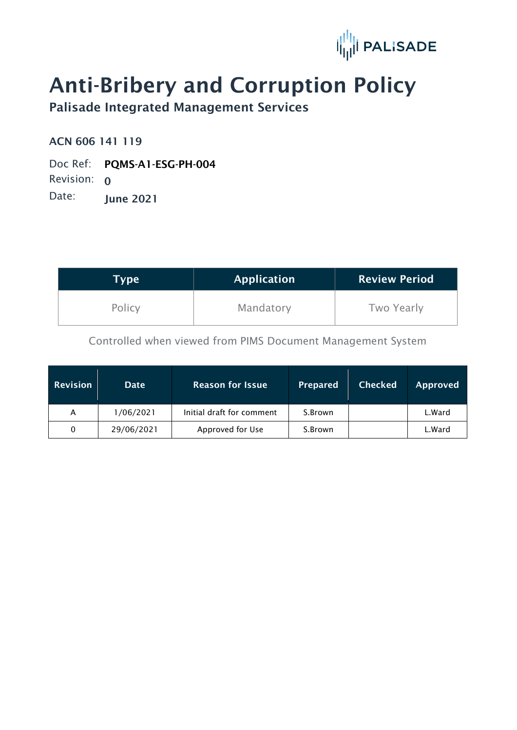

# Anti-Bribery and Corruption Policy

Palisade Integrated Management Services

ACN 606 141 119

Doc Ref: PQMS-A1-ESG-PH-004 Revision: 0 Date: June 2021

| Type   | <b>Application</b> | <b>Review Period</b> |
|--------|--------------------|----------------------|
| Policy | Mandatory          | Two Yearly           |

Controlled when viewed from PIMS Document Management System

| <b>Revision</b> | <b>Date</b> | <b>Reason for Issue</b>   | <b>Prepared</b> | <b>Checked</b> | <b>Approved</b> |
|-----------------|-------------|---------------------------|-----------------|----------------|-----------------|
| A               | 1/06/2021   | Initial draft for comment | S.Brown         |                | L.Ward          |
| 0               | 29/06/2021  | Approved for Use          | S.Brown         |                | L.Ward          |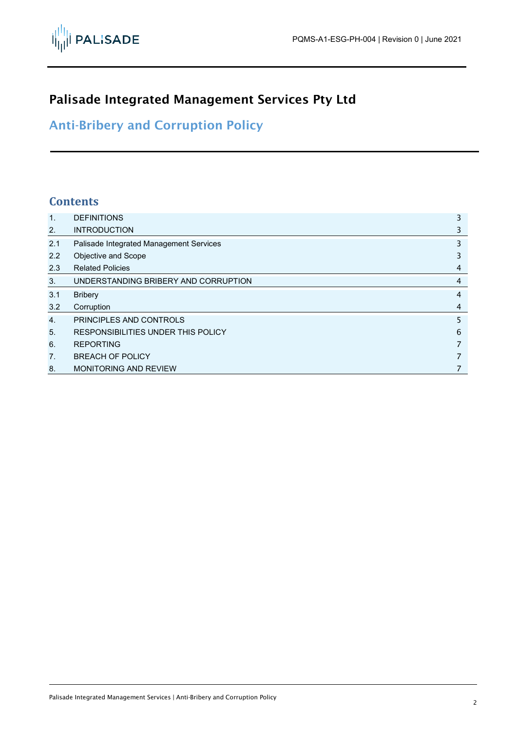

## Palisade Integrated Management Services Pty Ltd

Anti-Bribery and Corruption Policy

#### **Contents**

| $\mathbf{1}$ . | <b>DEFINITIONS</b>                      | 3 |
|----------------|-----------------------------------------|---|
| 2.             | <b>INTRODUCTION</b>                     | 3 |
| 2.1            | Palisade Integrated Management Services | 3 |
| 2.2            | Objective and Scope                     | 3 |
| 2.3            | <b>Related Policies</b>                 | 4 |
| 3.             | UNDERSTANDING BRIBERY AND CORRUPTION    | 4 |
| 3.1            | <b>Bribery</b>                          | 4 |
| 3.2            | Corruption                              | 4 |
| $\mathbf{4}$ . | PRINCIPLES AND CONTROLS                 | 5 |
| 5.             | RESPONSIBILITIES UNDER THIS POLICY      | 6 |
| 6.             | <b>REPORTING</b>                        | 7 |
| 7 <sub>1</sub> | <b>BREACH OF POLICY</b>                 | 7 |
| 8.             | <b>MONITORING AND REVIEW</b>            | 7 |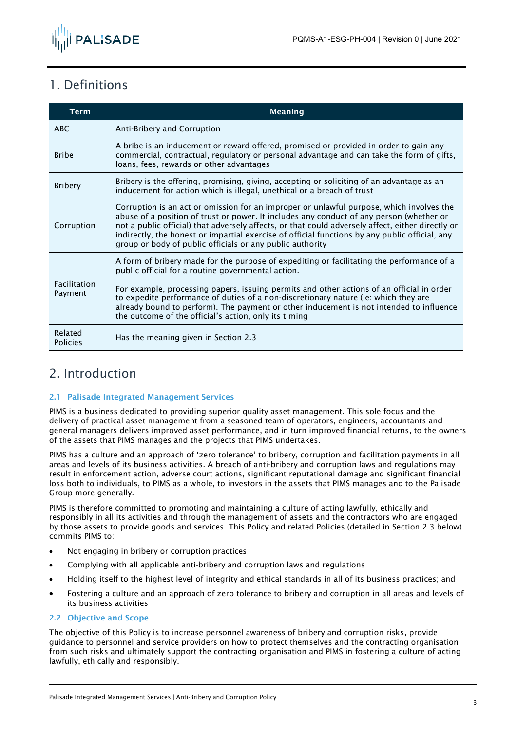

## <span id="page-2-0"></span>1. Definitions

| <b>Term</b>                | <b>Meaning</b>                                                                                                                                                                                                                                                                                                                                                                                                                                                                          |
|----------------------------|-----------------------------------------------------------------------------------------------------------------------------------------------------------------------------------------------------------------------------------------------------------------------------------------------------------------------------------------------------------------------------------------------------------------------------------------------------------------------------------------|
| <b>ABC</b>                 | Anti-Bribery and Corruption                                                                                                                                                                                                                                                                                                                                                                                                                                                             |
| <b>Bribe</b>               | A bribe is an inducement or reward offered, promised or provided in order to gain any<br>commercial, contractual, regulatory or personal advantage and can take the form of gifts,<br>loans, fees, rewards or other advantages                                                                                                                                                                                                                                                          |
| <b>Bribery</b>             | Bribery is the offering, promising, giving, accepting or soliciting of an advantage as an<br>inducement for action which is illegal, unethical or a breach of trust                                                                                                                                                                                                                                                                                                                     |
| Corruption                 | Corruption is an act or omission for an improper or unlawful purpose, which involves the<br>abuse of a position of trust or power. It includes any conduct of any person (whether or<br>not a public official) that adversely affects, or that could adversely affect, either directly or<br>indirectly, the honest or impartial exercise of official functions by any public official, any<br>group or body of public officials or any public authority                                |
| Facilitation<br>Payment    | A form of bribery made for the purpose of expediting or facilitating the performance of a<br>public official for a routine governmental action.<br>For example, processing papers, issuing permits and other actions of an official in order<br>to expedite performance of duties of a non-discretionary nature (ie: which they are<br>already bound to perform). The payment or other inducement is not intended to influence<br>the outcome of the official's action, only its timing |
| Related<br><b>Policies</b> | Has the meaning given in Section 2.3                                                                                                                                                                                                                                                                                                                                                                                                                                                    |

### <span id="page-2-1"></span>2. Introduction

#### <span id="page-2-2"></span>2.1 Palisade Integrated Management Services

PIMS is a business dedicated to providing superior quality asset management. This sole focus and the delivery of practical asset management from a seasoned team of operators, engineers, accountants and general managers delivers improved asset performance, and in turn improved financial returns, to the owners of the assets that PIMS manages and the projects that PIMS undertakes.

PIMS has a culture and an approach of 'zero tolerance' to bribery, corruption and facilitation payments in all areas and levels of its business activities. A breach of anti-bribery and corruption laws and regulations may result in enforcement action, adverse court actions, significant reputational damage and significant financial loss both to individuals, to PIMS as a whole, to investors in the assets that PIMS manages and to the Palisade Group more generally.

PIMS is therefore committed to promoting and maintaining a culture of acting lawfully, ethically and responsibly in all its activities and through the management of assets and the contractors who are engaged by those assets to provide goods and services. This Policy and related Policies (detailed in Section 2.3 below) commits PIMS to:

- Not engaging in bribery or corruption practices
- Complying with all applicable anti-bribery and corruption laws and regulations
- Holding itself to the highest level of integrity and ethical standards in all of its business practices; and
- Fostering a culture and an approach of zero tolerance to bribery and corruption in all areas and levels of its business activities

#### <span id="page-2-3"></span>2.2 Objective and Scope

The objective of this Policy is to increase personnel awareness of bribery and corruption risks, provide guidance to personnel and service providers on how to protect themselves and the contracting organisation from such risks and ultimately support the contracting organisation and PIMS in fostering a culture of acting lawfully, ethically and responsibly.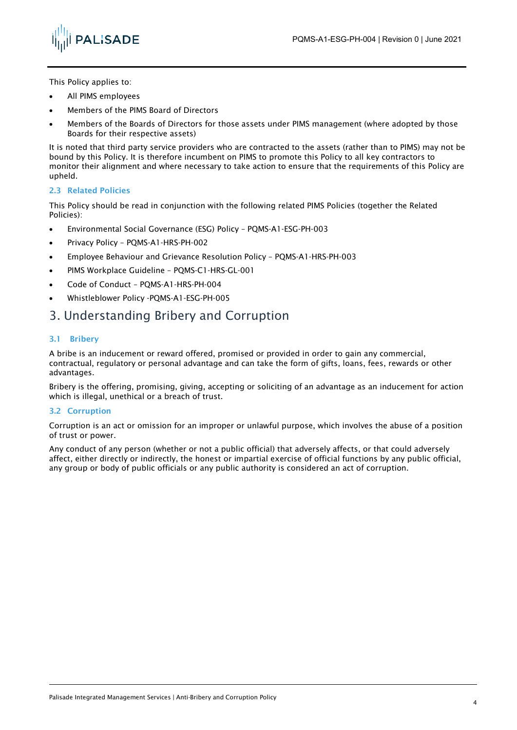

This Policy applies to:

- All PIMS employees
- Members of the PIMS Board of Directors
- Members of the Boards of Directors for those assets under PIMS management (where adopted by those Boards for their respective assets)

It is noted that third party service providers who are contracted to the assets (rather than to PIMS) may not be bound by this Policy. It is therefore incumbent on PIMS to promote this Policy to all key contractors to monitor their alignment and where necessary to take action to ensure that the requirements of this Policy are upheld.

#### <span id="page-3-0"></span>2.3 Related Policies

This Policy should be read in conjunction with the following related PIMS Policies (together the Related Policies):

- Environmental Social Governance (ESG) Policy PQMS-A1-ESG-PH-003
- Privacy Policy PQMS-A1-HRS-PH-002
- Employee Behaviour and Grievance Resolution Policy PQMS-A1-HRS-PH-003
- PIMS Workplace Guideline PQMS-C1-HRS-GL-001
- Code of Conduct PQMS-A1-HRS-PH-004
- Whistleblower Policy -PQMS-A1-ESG-PH-005

#### <span id="page-3-1"></span>3. Understanding Bribery and Corruption

#### <span id="page-3-2"></span>3.1 Bribery

A bribe is an inducement or reward offered, promised or provided in order to gain any commercial, contractual, regulatory or personal advantage and can take the form of gifts, loans, fees, rewards or other advantages.

Bribery is the offering, promising, giving, accepting or soliciting of an advantage as an inducement for action which is illegal, unethical or a breach of trust.

#### <span id="page-3-3"></span>3.2 Corruption

Corruption is an act or omission for an improper or unlawful purpose, which involves the abuse of a position of trust or power.

Any conduct of any person (whether or not a public official) that adversely affects, or that could adversely affect, either directly or indirectly, the honest or impartial exercise of official functions by any public official, any group or body of public officials or any public authority is considered an act of corruption.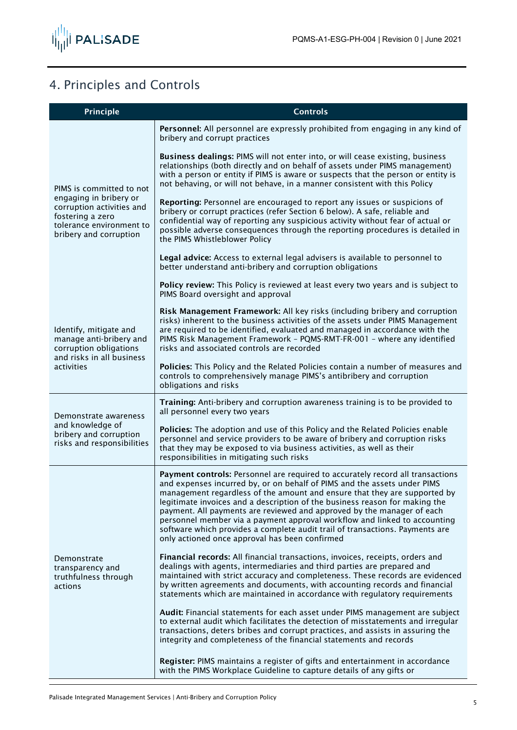

# <span id="page-4-0"></span>4. Principles and Controls

| Principle                                                                                                                                                 | <b>Controls</b>                                                                                                                                                                                                                                                                                                                                                                                                                                                                                                                                                                                                 |
|-----------------------------------------------------------------------------------------------------------------------------------------------------------|-----------------------------------------------------------------------------------------------------------------------------------------------------------------------------------------------------------------------------------------------------------------------------------------------------------------------------------------------------------------------------------------------------------------------------------------------------------------------------------------------------------------------------------------------------------------------------------------------------------------|
| PIMS is committed to not<br>engaging in bribery or<br>corruption activities and<br>fostering a zero<br>tolerance environment to<br>bribery and corruption | Personnel: All personnel are expressly prohibited from engaging in any kind of<br>bribery and corrupt practices                                                                                                                                                                                                                                                                                                                                                                                                                                                                                                 |
|                                                                                                                                                           | Business dealings: PIMS will not enter into, or will cease existing, business<br>relationships (both directly and on behalf of assets under PIMS management)<br>with a person or entity if PIMS is aware or suspects that the person or entity is<br>not behaving, or will not behave, in a manner consistent with this Policy                                                                                                                                                                                                                                                                                  |
|                                                                                                                                                           | Reporting: Personnel are encouraged to report any issues or suspicions of<br>bribery or corrupt practices (refer Section 6 below). A safe, reliable and<br>confidential way of reporting any suspicious activity without fear of actual or<br>possible adverse consequences through the reporting procedures is detailed in<br>the PIMS Whistleblower Policy                                                                                                                                                                                                                                                    |
|                                                                                                                                                           | Legal advice: Access to external legal advisers is available to personnel to<br>better understand anti-bribery and corruption obligations                                                                                                                                                                                                                                                                                                                                                                                                                                                                       |
|                                                                                                                                                           | Policy review: This Policy is reviewed at least every two years and is subject to<br>PIMS Board oversight and approval                                                                                                                                                                                                                                                                                                                                                                                                                                                                                          |
| Identify, mitigate and<br>manage anti-bribery and<br>corruption obligations<br>and risks in all business<br>activities                                    | Risk Management Framework: All key risks (including bribery and corruption<br>risks) inherent to the business activities of the assets under PIMS Management<br>are required to be identified, evaluated and managed in accordance with the<br>PIMS Risk Management Framework - PQMS-RMT-FR-001 - where any identified<br>risks and associated controls are recorded                                                                                                                                                                                                                                            |
|                                                                                                                                                           | Policies: This Policy and the Related Policies contain a number of measures and<br>controls to comprehensively manage PIMS's antibribery and corruption<br>obligations and risks                                                                                                                                                                                                                                                                                                                                                                                                                                |
| Demonstrate awareness                                                                                                                                     | Training: Anti-bribery and corruption awareness training is to be provided to<br>all personnel every two years                                                                                                                                                                                                                                                                                                                                                                                                                                                                                                  |
| and knowledge of<br>bribery and corruption<br>risks and responsibilities                                                                                  | Policies: The adoption and use of this Policy and the Related Policies enable<br>personnel and service providers to be aware of bribery and corruption risks<br>that they may be exposed to via business activities, as well as their<br>responsibilities in mitigating such risks                                                                                                                                                                                                                                                                                                                              |
| Demonstrate<br>transparency and<br>truthfulness through<br>actions                                                                                        | Payment controls: Personnel are required to accurately record all transactions<br>and expenses incurred by, or on behalf of PIMS and the assets under PIMS<br>management regardless of the amount and ensure that they are supported by<br>legitimate invoices and a description of the business reason for making the<br>payment. All payments are reviewed and approved by the manager of each<br>personnel member via a payment approval workflow and linked to accounting<br>software which provides a complete audit trail of transactions. Payments are<br>only actioned once approval has been confirmed |
|                                                                                                                                                           | Financial records: All financial transactions, invoices, receipts, orders and<br>dealings with agents, intermediaries and third parties are prepared and<br>maintained with strict accuracy and completeness. These records are evidenced<br>by written agreements and documents, with accounting records and financial<br>statements which are maintained in accordance with regulatory requirements                                                                                                                                                                                                           |
|                                                                                                                                                           | Audit: Financial statements for each asset under PIMS management are subject<br>to external audit which facilitates the detection of misstatements and irregular<br>transactions, deters bribes and corrupt practices, and assists in assuring the<br>integrity and completeness of the financial statements and records                                                                                                                                                                                                                                                                                        |
|                                                                                                                                                           | Register: PIMS maintains a register of gifts and entertainment in accordance<br>with the PIMS Workplace Guideline to capture details of any gifts or                                                                                                                                                                                                                                                                                                                                                                                                                                                            |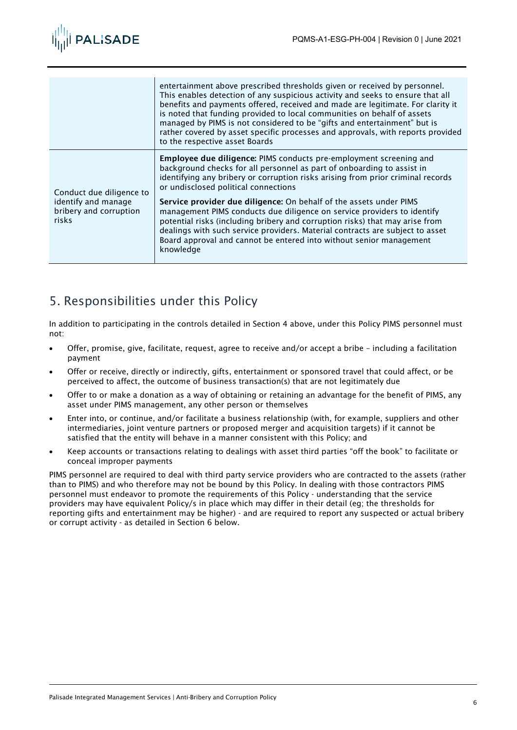

|                                                                                    | entertainment above prescribed thresholds given or received by personnel.<br>This enables detection of any suspicious activity and seeks to ensure that all<br>benefits and payments offered, received and made are legitimate. For clarity it<br>is noted that funding provided to local communities on behalf of assets<br>managed by PIMS is not considered to be "gifts and entertainment" but is<br>rather covered by asset specific processes and approvals, with reports provided<br>to the respective asset Boards                                                                                                                                                           |
|------------------------------------------------------------------------------------|--------------------------------------------------------------------------------------------------------------------------------------------------------------------------------------------------------------------------------------------------------------------------------------------------------------------------------------------------------------------------------------------------------------------------------------------------------------------------------------------------------------------------------------------------------------------------------------------------------------------------------------------------------------------------------------|
| Conduct due diligence to<br>identify and manage<br>bribery and corruption<br>risks | <b>Employee due diligence:</b> PIMS conducts pre-employment screening and<br>background checks for all personnel as part of onboarding to assist in<br>identifying any bribery or corruption risks arising from prior criminal records<br>or undisclosed political connections<br>Service provider due diligence: On behalf of the assets under PIMS<br>management PIMS conducts due diligence on service providers to identify<br>potential risks (including bribery and corruption risks) that may arise from<br>dealings with such service providers. Material contracts are subject to asset<br>Board approval and cannot be entered into without senior management<br>knowledge |

## <span id="page-5-0"></span>5. Responsibilities under this Policy

In addition to participating in the controls detailed in Section 4 above, under this Policy PIMS personnel must not:

- Offer, promise, give, facilitate, request, agree to receive and/or accept a bribe including a facilitation payment
- Offer or receive, directly or indirectly, gifts, entertainment or sponsored travel that could affect, or be perceived to affect, the outcome of business transaction(s) that are not legitimately due
- Offer to or make a donation as a way of obtaining or retaining an advantage for the benefit of PIMS, any asset under PIMS management, any other person or themselves
- Enter into, or continue, and/or facilitate a business relationship (with, for example, suppliers and other intermediaries, joint venture partners or proposed merger and acquisition targets) if it cannot be satisfied that the entity will behave in a manner consistent with this Policy; and
- Keep accounts or transactions relating to dealings with asset third parties "off the book" to facilitate or conceal improper payments

PIMS personnel are required to deal with third party service providers who are contracted to the assets (rather than to PIMS) and who therefore may not be bound by this Policy. In dealing with those contractors PIMS personnel must endeavor to promote the requirements of this Policy - understanding that the service providers may have equivalent Policy/s in place which may differ in their detail (eg; the thresholds for reporting gifts and entertainment may be higher) - and are required to report any suspected or actual bribery or corrupt activity - as detailed in Section 6 below.